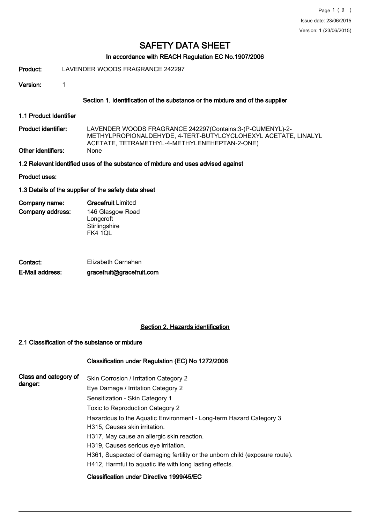# In accordance with REACH Regulation EC No.1907/2006

Product: LAVENDER WOODS FRAGRANCE 242297

Version: 1

### Section 1. Identification of the substance or the mixture and of the supplier

1.1 Product Identifier

LAVENDER WOODS FRAGRANCE 242297(Contains:3-(P-CUMENYL)-2- METHYLPROPIONALDEHYDE, 4-TERT-BUTYLCYCLOHEXYL ACETATE, LINALYL ACETATE, TETRAMETHYL-4-METHYLENEHEPTAN-2-ONE) Product identifier: Other identifiers: None

1.2 Relevant identified uses of the substance of mixture and uses advised against

Product uses:

### 1.3 Details of the supplier of the safety data sheet

| Company name:    | <b>Gracefruit Limited</b> |
|------------------|---------------------------|
| Company address: | 146 Glasgow Road          |
|                  | Longcroft                 |
|                  | Stirlingshire             |
|                  | <b>FK4 1QL</b>            |

| Contact:<br>E-Mail address: | Elizabeth Carnahan        |
|-----------------------------|---------------------------|
|                             | gracefruit@gracefruit.com |

# Section 2. Hazards identification

# 2.1 Classification of the substance or mixture

# Classification under Regulation (EC) No 1272/2008

| Class and category of<br>danger: | Skin Corrosion / Irritation Category 2                                                              |
|----------------------------------|-----------------------------------------------------------------------------------------------------|
|                                  | Eye Damage / Irritation Category 2                                                                  |
|                                  | Sensitization - Skin Category 1                                                                     |
|                                  | Toxic to Reproduction Category 2                                                                    |
|                                  | Hazardous to the Aquatic Environment - Long-term Hazard Category 3<br>H315, Causes skin irritation. |
|                                  | H317, May cause an allergic skin reaction.                                                          |
|                                  | H319, Causes serious eye irritation.                                                                |
|                                  | H361, Suspected of damaging fertility or the unborn child (exposure route).                         |
|                                  | H412, Harmful to aguatic life with long lasting effects.                                            |
|                                  | Classification under Directive 1999/45/EC                                                           |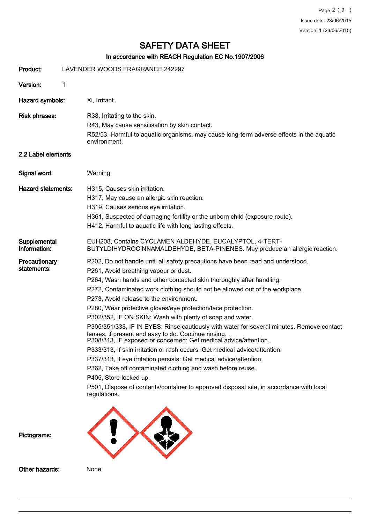# In accordance with REACH Regulation EC No.1907/2006

| Product:                     | LAVENDER WOODS FRAGRANCE 242297                                                                                                                                                                                                                                                                                                                                                                                                                                                                                                                                                                                                                                                                                                                                                                                                                                                                                                                                                                                                            |
|------------------------------|--------------------------------------------------------------------------------------------------------------------------------------------------------------------------------------------------------------------------------------------------------------------------------------------------------------------------------------------------------------------------------------------------------------------------------------------------------------------------------------------------------------------------------------------------------------------------------------------------------------------------------------------------------------------------------------------------------------------------------------------------------------------------------------------------------------------------------------------------------------------------------------------------------------------------------------------------------------------------------------------------------------------------------------------|
| Version:                     | 1                                                                                                                                                                                                                                                                                                                                                                                                                                                                                                                                                                                                                                                                                                                                                                                                                                                                                                                                                                                                                                          |
| Hazard symbols:              | Xi, Irritant.                                                                                                                                                                                                                                                                                                                                                                                                                                                                                                                                                                                                                                                                                                                                                                                                                                                                                                                                                                                                                              |
| <b>Risk phrases:</b>         | R38, Irritating to the skin.<br>R43, May cause sensitisation by skin contact.<br>R52/53, Harmful to aquatic organisms, may cause long-term adverse effects in the aquatic<br>environment.                                                                                                                                                                                                                                                                                                                                                                                                                                                                                                                                                                                                                                                                                                                                                                                                                                                  |
| 2.2 Label elements           |                                                                                                                                                                                                                                                                                                                                                                                                                                                                                                                                                                                                                                                                                                                                                                                                                                                                                                                                                                                                                                            |
| Signal word:                 | Warning                                                                                                                                                                                                                                                                                                                                                                                                                                                                                                                                                                                                                                                                                                                                                                                                                                                                                                                                                                                                                                    |
| <b>Hazard statements:</b>    | H315, Causes skin irritation.<br>H317, May cause an allergic skin reaction.<br>H319, Causes serious eye irritation.<br>H361, Suspected of damaging fertility or the unborn child (exposure route).<br>H412, Harmful to aquatic life with long lasting effects.                                                                                                                                                                                                                                                                                                                                                                                                                                                                                                                                                                                                                                                                                                                                                                             |
| Supplemental<br>Information: | EUH208, Contains CYCLAMEN ALDEHYDE, EUCALYPTOL, 4-TERT-<br>BUTYLDIHYDROCINNAMALDEHYDE, BETA-PINENES. May produce an allergic reaction.                                                                                                                                                                                                                                                                                                                                                                                                                                                                                                                                                                                                                                                                                                                                                                                                                                                                                                     |
| Precautionary<br>statements: | P202, Do not handle until all safety precautions have been read and understood.<br>P261, Avoid breathing vapour or dust.<br>P264, Wash hands and other contacted skin thoroughly after handling.<br>P272, Contaminated work clothing should not be allowed out of the workplace.<br>P273, Avoid release to the environment.<br>P280, Wear protective gloves/eye protection/face protection.<br>P302/352, IF ON SKIN: Wash with plenty of soap and water.<br>P305/351/338, IF IN EYES: Rinse cautiously with water for several minutes. Remove contact<br>lenses, if present and easy to do. Continue rinsing.<br>P308/313, IF exposed or concerned: Get medical advice/attention.<br>P333/313, If skin irritation or rash occurs: Get medical advice/attention.<br>P337/313, If eye irritation persists: Get medical advice/attention.<br>P362, Take off contaminated clothing and wash before reuse.<br>P405, Store locked up.<br>P501, Dispose of contents/container to approved disposal site, in accordance with local<br>regulations. |
| Pictograms:                  |                                                                                                                                                                                                                                                                                                                                                                                                                                                                                                                                                                                                                                                                                                                                                                                                                                                                                                                                                                                                                                            |
| Other hazards:               | None                                                                                                                                                                                                                                                                                                                                                                                                                                                                                                                                                                                                                                                                                                                                                                                                                                                                                                                                                                                                                                       |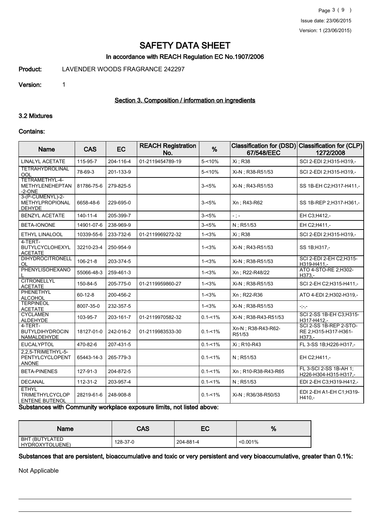### In accordance with REACH Regulation EC No.1907/2006

Product: LAVENDER WOODS FRAGRANCE 242297

#### Version: 1

# Section 3. Composition / information on ingredients

### 3.2 Mixtures

#### Contains:

| <b>Name</b>                                                     | <b>CAS</b>     | EC        | <b>REACH Registration</b><br>No. | %           | <b>Classification for (DSD)</b><br>67/548/EEC | <b>Classification for (CLP)</b><br>1272/2008               |
|-----------------------------------------------------------------|----------------|-----------|----------------------------------|-------------|-----------------------------------------------|------------------------------------------------------------|
| LINALYL ACETATE                                                 | 115-95-7       | 204-116-4 | 01-2119454789-19                 | $5 - 10%$   | Xi ; R38                                      | SCI 2-EDI 2;H315-H319,-                                    |
| <b>TETRAHYDROLINAL</b><br>OOL                                   | 78-69-3        | 201-133-9 |                                  | $5 - 10%$   | Xi-N ; R38-R51/53                             | SCI 2-EDI 2;H315-H319,-                                    |
| TETRAMETHYL-4-<br>METHYLENEHEPTAN<br>$-2$ -ONE                  | 81786-75-6     | 279-825-5 |                                  | $3 - 5%$    | Xi-N; R43-R51/53                              | SS 1B-EH C2; H317-H411,-                                   |
| 3-(P-CUMENYL)-2-<br>METHYLPROPIONAL<br><b>DEHYDE</b>            | 6658-48-6      | 229-695-0 |                                  | $3 - 5%$    | Xn : R43-R62                                  | SS 1B-REP 2;H317-H361,-                                    |
| <b>BENZYL ACETATE</b>                                           | $140 - 11 - 4$ | 205-399-7 |                                  | $3 - 5%$    | $-$ ; $-$                                     | EH C3;H412,-                                               |
| BETA-IONONE                                                     | 14901-07-6     | 238-969-9 |                                  | $3 - 5%$    | N: R51/53                                     | EH C2:H411,-                                               |
| ETHYL LINALOOL                                                  | 10339-55-6     | 233-732-6 | 01-2119969272-32                 | $1 - 3%$    | Xi ; R38                                      | SCI 2-EDI 2;H315-H319,-                                    |
| 4-TERT-<br>BUTYLCYCLOHEXYL<br><b>ACETATE</b>                    | 32210-23-4     | 250-954-9 |                                  | $1 - 3%$    | Xi-N : R43-R51/53                             | SS 1B:H317,-                                               |
| <b>DIHYDROCITRONELL</b><br>OL                                   | 106-21-8       | 203-374-5 |                                  | $1 - 3%$    | Xi-N ; R38-R51/53                             | SCI 2-EDI 2-EH C2;H315-<br>H319-H411,-                     |
| <b>PHENYLISOHEXANO</b>                                          | 55066-48-3     | 259-461-3 |                                  | $1 - 3%$    | Xn; R22-R48/22                                | ATO 4-STO-RE 2; H302-<br>$H373 -$                          |
| <b>CITRONELLYL</b><br><b>ACETATE</b>                            | 150-84-5       | 205-775-0 | 01-2119959860-27                 | $1 - 3%$    | Xi-N; R38-R51/53                              | SCI 2-EH C2:H315-H411.-                                    |
| <b>PHENETHYL</b><br><b>ALCOHOL</b>                              | $60 - 12 - 8$  | 200-456-2 |                                  | $1 - 3%$    | Xn : R22-R36                                  | ATO 4-EDI 2; H302-H319,-                                   |
| <b>TERPINEOL</b><br><b>ACETATE</b>                              | 8007-35-0      | 232-357-5 |                                  | $1 - 3%$    | Xi-N; R38-R51/53                              | $-1 - 1 - 1 = 0$                                           |
| <b>CYCLAMEN</b><br><b>ALDEHYDE</b>                              | 103-95-7       | 203-161-7 | 01-2119970582-32                 | $0.1 - 1\%$ | Xi-N : R38-R43-R51/53                         | SCI 2-SS 1B-EH C3;H315-<br>H317-H412.-                     |
| 4-TERT-<br><b>BUTYLDIHYDROCIN</b><br>NAMALDEHYDE                | 18127-01-0     | 242-016-2 | 01-2119983533-30                 | $0.1 - 1\%$ | Xn-N : R38-R43-R62-<br>R51/53                 | SCI 2-SS 1B-REP 2-STO-<br>RE 2;H315-H317-H361-<br>$H373 -$ |
| <b>EUCALYPTOL</b>                                               | 470-82-6       | 207-431-5 |                                  | $0.1 - 1\%$ | Xi; R10-R43                                   | FL 3-SS 1B;H226-H317,-                                     |
| 2.2.5-TRIMETHYL-5-<br>PENTYLCYCLOPENT<br>ANONE                  | 65443-14-3     | 265-779-3 |                                  | $0.1 - 1\%$ | N; R51/53                                     | EH C2;H411,-                                               |
| <b>BETA-PINENES</b>                                             | 127-91-3       | 204-872-5 |                                  | $0.1 - 1\%$ | Xn: R10-R38-R43-R65                           | FL 3-SCI 2-SS 1B-AH 1:<br>H226-H304-H315-H317,-            |
| <b>DECANAL</b>                                                  | 112-31-2       | 203-957-4 |                                  | $0.1 - 1\%$ | $N$ ; R51/53                                  | EDI 2-EH C3;H319-H412,-                                    |
| <b>ETHYL</b><br><b>TRIMETHYLCYCLOP</b><br><b>ENTENE BUTENOL</b> | 28219-61-6     | 248-908-8 |                                  | $0.1 - 1\%$ | Xi-N : R36/38-R50/53                          | EDI 2-EH A1-EH C1:H319-<br>H410,-                          |

Substances with Community workplace exposure limits, not listed above:

| <b>Name</b>                       | CAS      | EC        | %           |
|-----------------------------------|----------|-----------|-------------|
| BHT (BUTYLATED<br>HYDROXYTOLUENE) | 128-37-0 | 204-881-4 | $< 0.001\%$ |

Substances that are persistent, bioaccumulative and toxic or very persistent and very bioaccumulative, greater than 0.1%:

Not Applicable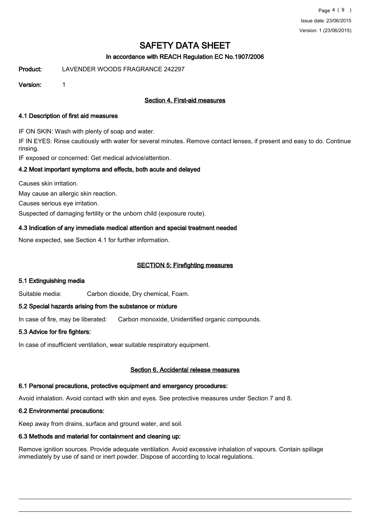# In accordance with REACH Regulation EC No.1907/2006

Product: LAVENDER WOODS FRAGRANCE 242297

Version: 1

# Section 4. First-aid measures

### 4.1 Description of first aid measures

IF ON SKIN: Wash with plenty of soap and water.

IF IN EYES: Rinse cautiously with water for several minutes. Remove contact lenses, if present and easy to do. Continue rinsing.

IF exposed or concerned: Get medical advice/attention.

# 4.2 Most important symptoms and effects, both acute and delayed

Causes skin irritation.

May cause an allergic skin reaction.

Causes serious eye irritation.

Suspected of damaging fertility or the unborn child (exposure route).

# 4.3 Indication of any immediate medical attention and special treatment needed

None expected, see Section 4.1 for further information.

# SECTION 5: Firefighting measures

# 5.1 Extinguishing media

Suitable media: Carbon dioxide, Dry chemical, Foam.

# 5.2 Special hazards arising from the substance or mixture

In case of fire, may be liberated: Carbon monoxide, Unidentified organic compounds.

# 5.3 Advice for fire fighters:

In case of insufficient ventilation, wear suitable respiratory equipment.

# Section 6. Accidental release measures

# 6.1 Personal precautions, protective equipment and emergency procedures:

Avoid inhalation. Avoid contact with skin and eyes. See protective measures under Section 7 and 8.

# 6.2 Environmental precautions:

Keep away from drains, surface and ground water, and soil.

# 6.3 Methods and material for containment and cleaning up:

Remove ignition sources. Provide adequate ventilation. Avoid excessive inhalation of vapours. Contain spillage immediately by use of sand or inert powder. Dispose of according to local regulations.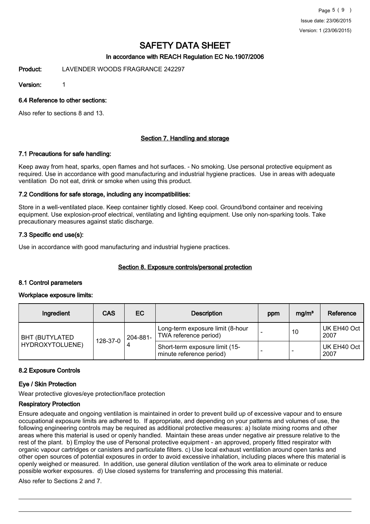Page 5 ( 9 ) Issue date: 23/06/2015 Version: 1 (23/06/2015)

# SAFETY DATA SHEET

# In accordance with REACH Regulation EC No.1907/2006

Product: LAVENDER WOODS FRAGRANCE 242297

Version: 1

6.4 Reference to other sections:

Also refer to sections 8 and 13.

### Section 7. Handling and storage

### 7.1 Precautions for safe handling:

Keep away from heat, sparks, open flames and hot surfaces. - No smoking. Use personal protective equipment as required. Use in accordance with good manufacturing and industrial hygiene practices. Use in areas with adequate ventilation Do not eat, drink or smoke when using this product.

### 7.2 Conditions for safe storage, including any incompatibilities:

Store in a well-ventilated place. Keep container tightly closed. Keep cool. Ground/bond container and receiving equipment. Use explosion-proof electrical, ventilating and lighting equipment. Use only non-sparking tools. Take precautionary measures against static discharge.

### 7.3 Specific end use(s):

Use in accordance with good manufacturing and industrial hygiene practices.

# Section 8. Exposure controls/personal protection

### 8.1 Control parameters

### Workplace exposure limits:

| Ingredient                                                        | <b>CAS</b>                                                | EC                                                         | <b>Description</b> | ppm                 | mg/m <sup>3</sup>   | Reference |
|-------------------------------------------------------------------|-----------------------------------------------------------|------------------------------------------------------------|--------------------|---------------------|---------------------|-----------|
| 204-881-<br><b>BHT (BUTYLATED)</b><br>128-37-0<br>HYDROXYTOLUENE) | Long-term exposure limit (8-hour<br>TWA reference period) |                                                            | 10                 | UK EH40 Oct<br>2007 |                     |           |
|                                                                   |                                                           | Short-term exposure limit (15-<br>minute reference period) |                    | -                   | UK EH40 Oct<br>2007 |           |

### 8.2 Exposure Controls

### Eye / Skin Protection

Wear protective gloves/eye protection/face protection

# Respiratory Protection

Ensure adequate and ongoing ventilation is maintained in order to prevent build up of excessive vapour and to ensure occupational exposure limits are adhered to. If appropriate, and depending on your patterns and volumes of use, the following engineering controls may be required as additional protective measures: a) Isolate mixing rooms and other areas where this material is used or openly handled. Maintain these areas under negative air pressure relative to the rest of the plant. b) Employ the use of Personal protective equipment - an approved, properly fitted respirator with organic vapour cartridges or canisters and particulate filters. c) Use local exhaust ventilation around open tanks and other open sources of potential exposures in order to avoid excessive inhalation, including places where this material is openly weighed or measured. In addition, use general dilution ventilation of the work area to eliminate or reduce possible worker exposures. d) Use closed systems for transferring and processing this material.

Also refer to Sections 2 and 7.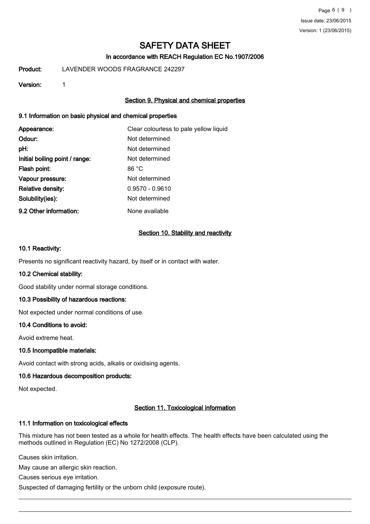# In accordance with REACH Regulation EC No.1907/2006

Product: LAVENDER WOODS FRAGRANCE 242297

### Version: 1

# Section 9. Physical and chemical properties

### 9.1 Information on basic physical and chemical properties

| Appearance:                    | Clear colourless to pale yellow liquid |
|--------------------------------|----------------------------------------|
| Odour:                         | Not determined                         |
| pH:                            | Not determined                         |
| Initial boiling point / range: | Not determined                         |
| Flash point:                   | 86 °C                                  |
| Vapour pressure:               | Not determined                         |
| <b>Relative density:</b>       | $0.9570 - 0.9610$                      |
| Solubility(ies):               | Not determined                         |
| 9.2 Other information:         | None available                         |

### Section 10. Stability and reactivity

### 10.1 Reactivity:

Presents no significant reactivity hazard, by itself or in contact with water.

### 10.2 Chemical stability:

Good stability under normal storage conditions.

### 10.3 Possibility of hazardous reactions:

Not expected under normal conditions of use.

### 10.4 Conditions to avoid:

Avoid extreme heat.

### 10.5 Incompatible materials:

Avoid contact with strong acids, alkalis or oxidising agents.

### 10.6 Hazardous decomposition products:

Not expected.

### Section 11. Toxicological information

### 11.1 Information on toxicological effects

This mixture has not been tested as a whole for health effects. The health effects have been calculated using the methods outlined in Regulation (EC) No 1272/2008 (CLP).

Causes skin irritation.

May cause an allergic skin reaction.

Causes serious eye irritation.

Suspected of damaging fertility or the unborn child (exposure route).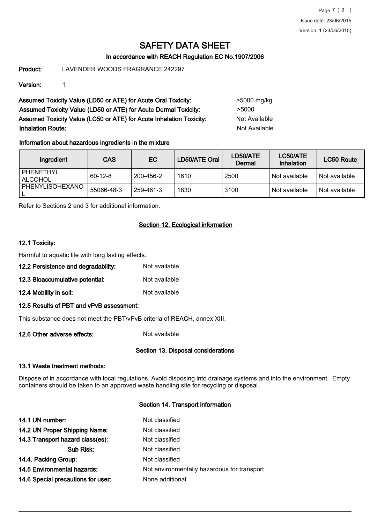Page 7 ( 9 ) Issue date: 23/06/2015 Version: 1 (23/06/2015)

# SAFETY DATA SHEET

# In accordance with REACH Regulation EC No.1907/2006

Product: LAVENDER WOODS FRAGRANCE 242297

Version: 1

Assumed Toxicity Value (LD50 or ATE) for Acute Oral Toxicity: >5000 mg/kg Assumed Toxicity Value (LD50 or ATE) for Acute Dermal Toxicity: > 5000 Assumed Toxicity Value (LC50 or ATE) for Acute Inhalation Toxicity: Not Available **Inhalation Route:** Not Available

# Information about hazardous ingredients in the mixture

| Ingredient           | <b>CAS</b> | EC.       | LD50/ATE Oral | LD50/ATE<br>Dermal | LC50/ATE<br>Inhalation | LC50 Route    |
|----------------------|------------|-----------|---------------|--------------------|------------------------|---------------|
| PHENETHYL<br>ALCOHOL | $60-12-8$  | 200-456-2 | 1610          | 2500               | ' Not available        | Not available |
| PHENYLISOHEXANO      | 55066-48-3 | 259-461-3 | 1830          | 3100               | ' Not available        | Not available |

Refer to Sections 2 and 3 for additional information.

# Section 12. Ecological information

### 12.1 Toxicity:

Harmful to aquatic life with long lasting effects.

- 12.2 Persistence and degradability: Not available
- 12.3 Bioaccumulative potential: Not available
- 12.4 Mobility in soil: Not available

### 12.5 Results of PBT and vPvB assessment:

This substance does not meet the PBT/vPvB criteria of REACH, annex XIII.

12.6 Other adverse effects: Not available

### Section 13. Disposal considerations

# 13.1 Waste treatment methods:

Dispose of in accordance with local regulations. Avoid disposing into drainage systems and into the environment. Empty containers should be taken to an approved waste handling site for recycling or disposal.

# Section 14. Transport information

| 14.1 UN number:                    | Not classified                              |
|------------------------------------|---------------------------------------------|
| 14.2 UN Proper Shipping Name:      | Not classified                              |
| 14.3 Transport hazard class(es):   | Not classified                              |
| Sub Risk:                          | Not classified                              |
| 14.4. Packing Group:               | Not classified                              |
| <b>14.5 Environmental hazards:</b> | Not environmentally hazardous for transport |
| 14.6 Special precautions for user: | None additional                             |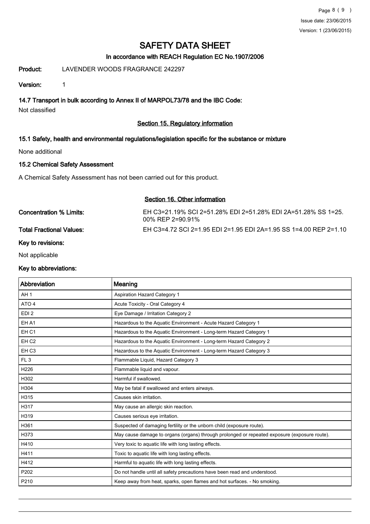# In accordance with REACH Regulation EC No.1907/2006

Product: LAVENDER WOODS FRAGRANCE 242297

Version: 1

14.7 Transport in bulk according to Annex II of MARPOL73/78 and the IBC Code:

Not classified

# Section 15. Regulatory information

# 15.1 Safety, health and environmental regulations/legislation specific for the substance or mixture

None additional

# 15.2 Chemical Safety Assessment

A Chemical Safety Assessment has not been carried out for this product.

# Section 16. Other information

| Concentration % Limits:         | EH C3=21.19% SCI 2=51.28% EDI 2=51.28% EDI 2A=51.28% SS 1=25.<br>00% REP 2=90.91% |
|---------------------------------|-----------------------------------------------------------------------------------|
| <b>Total Fractional Values:</b> | EH C3=4.72 SCI 2=1.95 EDI 2=1.95 EDI 2A=1.95 SS 1=4.00 REP 2=1.10                 |
| Key to revisions:               |                                                                                   |

Not applicable

### Key to abbreviations:

| Abbreviation     | Meaning                                                                                      |
|------------------|----------------------------------------------------------------------------------------------|
| AH <sub>1</sub>  | Aspiration Hazard Category 1                                                                 |
| ATO <sub>4</sub> | Acute Toxicity - Oral Category 4                                                             |
| EDI <sub>2</sub> | Eye Damage / Irritation Category 2                                                           |
| EH A1            | Hazardous to the Aquatic Environment - Acute Hazard Category 1                               |
| EH <sub>C1</sub> | Hazardous to the Aquatic Environment - Long-term Hazard Category 1                           |
| EH <sub>C2</sub> | Hazardous to the Aquatic Environment - Long-term Hazard Category 2                           |
| EH <sub>C3</sub> | Hazardous to the Aquatic Environment - Long-term Hazard Category 3                           |
| FL <sub>3</sub>  | Flammable Liquid, Hazard Category 3                                                          |
| H226             | Flammable liquid and vapour.                                                                 |
| H302             | Harmful if swallowed.                                                                        |
| H304             | May be fatal if swallowed and enters airways.                                                |
| H315             | Causes skin irritation.                                                                      |
| H317             | May cause an allergic skin reaction.                                                         |
| H319             | Causes serious eye irritation.                                                               |
| H361             | Suspected of damaging fertility or the unborn child (exposure route).                        |
| H373             | May cause damage to organs (organs) through prolonged or repeated exposure (exposure route). |
| H410             | Very toxic to aquatic life with long lasting effects.                                        |
| H411             | Toxic to aquatic life with long lasting effects.                                             |
| H412             | Harmful to aquatic life with long lasting effects.                                           |
| P202             | Do not handle until all safety precautions have been read and understood.                    |
| P210             | Keep away from heat, sparks, open flames and hot surfaces. - No smoking.                     |